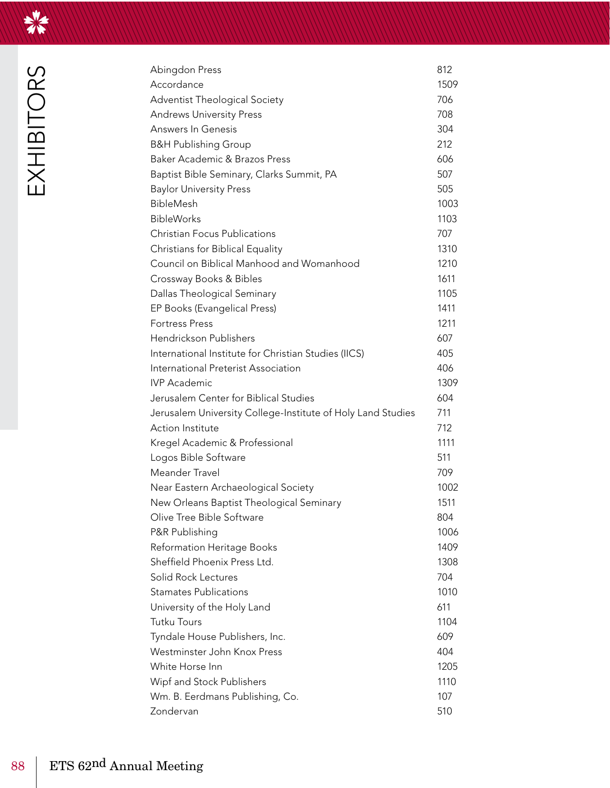

| Abingdon Press                                              | 812  |
|-------------------------------------------------------------|------|
| Accordance                                                  | 1509 |
| Adventist Theological Society                               | 706  |
| <b>Andrews University Press</b>                             | 708  |
| <b>Answers In Genesis</b>                                   | 304  |
| <b>B&amp;H Publishing Group</b>                             | 212  |
| <b>Baker Academic &amp; Brazos Press</b>                    | 606  |
| Baptist Bible Seminary, Clarks Summit, PA                   | 507  |
| <b>Baylor University Press</b>                              | 505  |
| BibleMesh                                                   | 1003 |
| <b>BibleWorks</b>                                           | 1103 |
| <b>Christian Focus Publications</b>                         | 707  |
| Christians for Biblical Equality                            | 1310 |
| Council on Biblical Manhood and Womanhood                   | 1210 |
| Crossway Books & Bibles                                     | 1611 |
| Dallas Theological Seminary                                 | 1105 |
| EP Books (Evangelical Press)                                | 1411 |
| <b>Fortress Press</b>                                       | 1211 |
| Hendrickson Publishers                                      | 607  |
| International Institute for Christian Studies (IICS)        | 405  |
| International Preterist Association                         | 406  |
| <b>IVP</b> Academic                                         | 1309 |
| Jerusalem Center for Biblical Studies                       | 604  |
| Jerusalem University College-Institute of Holy Land Studies | 711  |
| Action Institute                                            | 712  |
| Kregel Academic & Professional                              | 1111 |
| Logos Bible Software                                        | 511  |
| Meander Travel                                              | 709  |
| Near Eastern Archaeological Society                         | 1002 |
| New Orleans Baptist Theological Seminary                    | 1511 |
| Olive Tree Bible Software                                   | 804  |
| P&R Publishing                                              | 1006 |
| Reformation Heritage Books                                  | 1409 |
| Sheffield Phoenix Press Ltd.                                | 1308 |
| Solid Rock Lectures                                         | 704  |
| <b>Stamates Publications</b>                                | 1010 |
| University of the Holy Land                                 | 611  |
| <b>Tutku Tours</b>                                          | 1104 |
| Tyndale House Publishers, Inc.                              | 609  |
| Westminster John Knox Press                                 | 404  |
| White Horse Inn                                             | 1205 |
| Wipf and Stock Publishers                                   | 1110 |
| Wm. B. Eerdmans Publishing, Co.                             | 107  |
| Zondervan                                                   | 510  |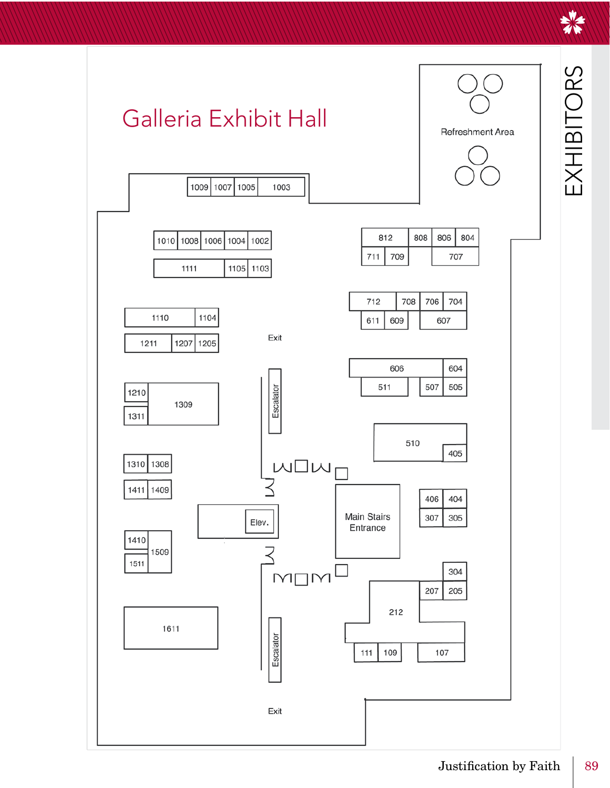EXHIBITORS

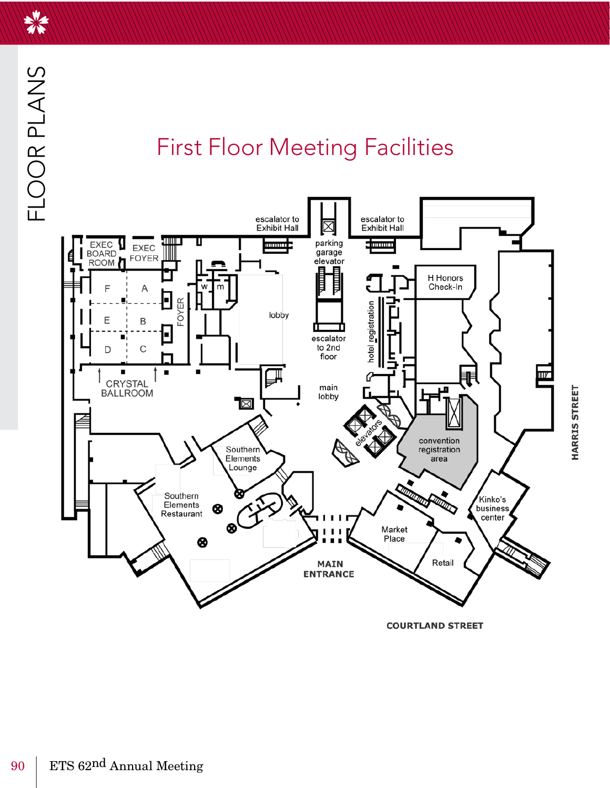

美

## **First Floor Meeting Facilities**



HARRIS STREET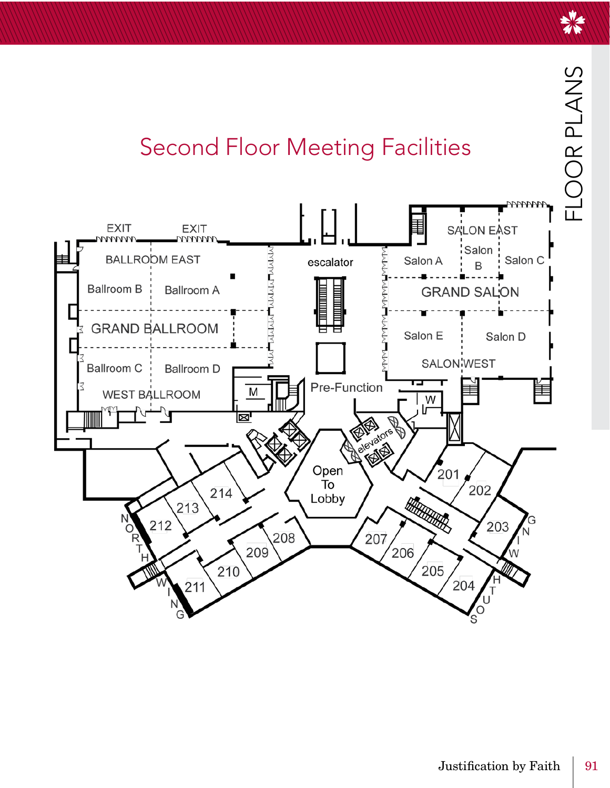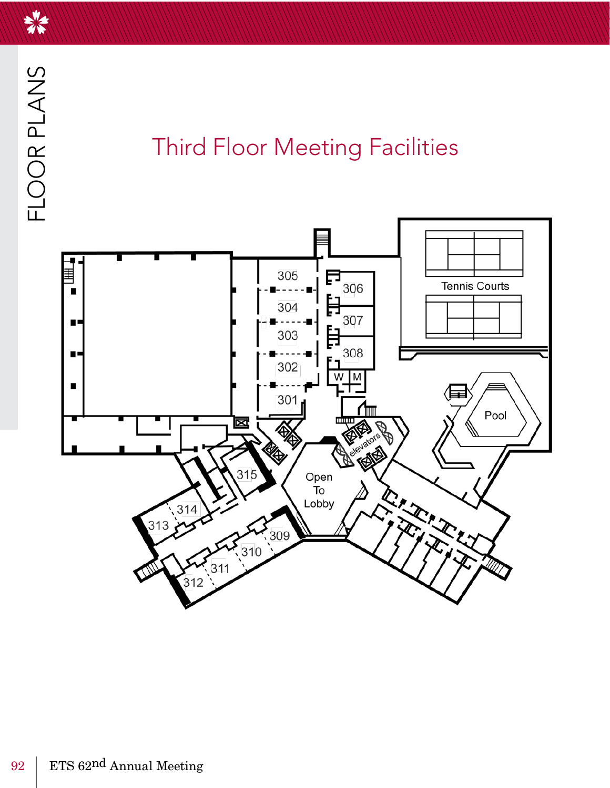## **Third Floor Meeting Facilities**